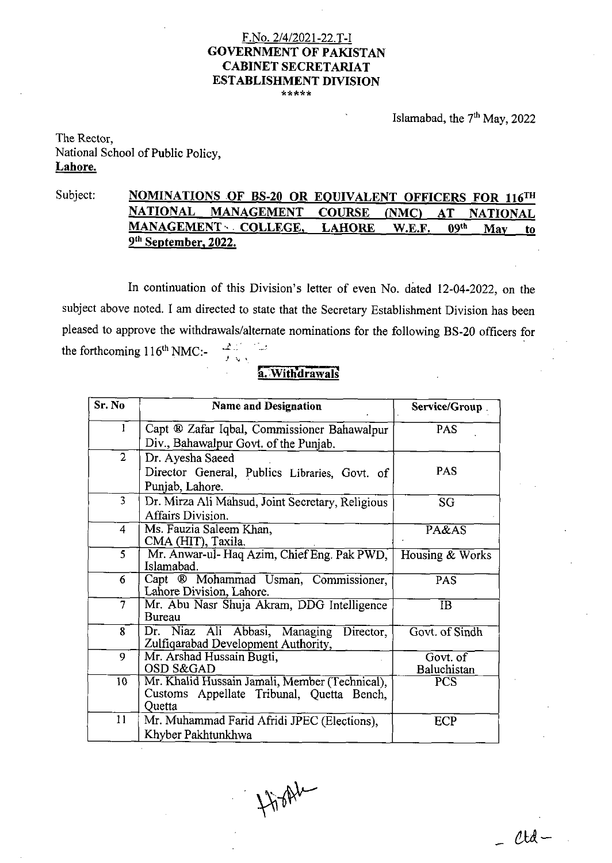# F.No. 21412021-22.T-I **GOVERNMENT OF PAKISTAN CABINET SECRETARIAT ESTABLISHMENT DIVISION** \*\*\*\*\*

Islamabad, the 7<sup>th</sup> May, 2022

#### The Rector, National School of Public Policy, **Lahore.**

## Subject: **NOMINATIONS OF BS-20 OR EQUIVALENT OFFICERS FOR 116<sup>TH</sup><br>NATIONAL MANAGEMENT COURSE (NMC) AT NATIONAL MANAGEMENT COURSE (NMC) AT NATIONAL MANAGEMENT..** . **COLLEGE, LAHORE W.E.F. 09th Mav to 9th September, 2022.**

In continuation of this Division's letter of even No. dated 12-04-2022, on the subject above noted. I am directed to state that the Secretary Establishment Division has been pleased to approve the withdrawals/alternate nominations for the following BS-20 officers for the forthcoming 116<sup>th</sup> NMC:-**<sup>2</sup>**'" **I,** 

## **a.** Withdrawals

| Sr. No          | <b>Name and Designation</b>                                                                           | Service/Group           |
|-----------------|-------------------------------------------------------------------------------------------------------|-------------------------|
| 1               | Capt ® Zafar Iqbal, Commissioner Bahawalpur<br>Div., Bahawalpur Govt. of the Punjab.                  | PAS                     |
| $\overline{2}$  | Dr. Ayesha Saeed<br>Director General, Publics Libraries, Govt. of<br>Punjab, Lahore.                  | <b>PAS</b>              |
| $\overline{3}$  | Dr. Mirza Ali Mahsud, Joint Secretary, Religious<br>Affairs Division.                                 | SG                      |
| 4               | Ms. Fauzia Saleem Khan,<br>CMA (HIT), Taxila.                                                         | $P_{\rm A} \& \rm AS$   |
| 5               | Mr. Anwar-ul- Haq Azim, Chief Eng. Pak PWD,<br>Islamabad.                                             | Housing & Works         |
| 6               | Capt ® Mohammad Usman, Commissioner,<br>Lahore Division, Lahore.                                      | PAS                     |
| $\overline{7}$  | Mr. Abu Nasr Shuja Akram, DDG Intelligence<br>Bureau                                                  | IB.                     |
| 8               | Dr. Niaz Ali Abbasi, Managing<br>Director,<br>Zulfiqarabad Development Authority,                     | Govt. of Sindh          |
| 9               | Mr. Arshad Hussain Bugti,<br>OSD S&GAD                                                                | Govt. of<br>Baluchistan |
| 10 <sub>1</sub> | Mr. Khalid Hussain Jamali, Member (Technical),<br>Customs Appellate Tribunal, Quetta Bench,<br>Ouetta | <b>PCS</b>              |
| 11              | Mr. Muhammad Farid Afridi JPEC (Elections),<br>Khyber Pakhtunkhwa                                     | ECP                     |